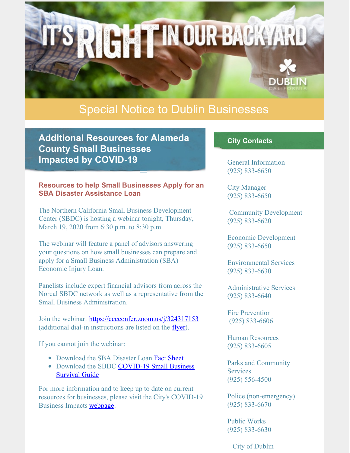## Special Notice to Dublin Businesses

**I GIFT INOUR BACKYARD** 

**Additional Resources for Alameda County Small Businesses Impacted by COVID-19**

## **Resources to help Small Businesses Apply for an SBA Disaster Assistance Loan**

The Northern California Small Business Development Center (SBDC) is hosting a webinar tonight, Thursday, March 19, 2020 from 6:30 p.m. to 8:30 p.m.

The webinar will feature a panel of advisors answering your questions on how small businesses can prepare and apply for a Small Business Administration (SBA) Economic Injury Loan.

Panelists include expert financial advisors from across the Norcal SBDC network as well as a representative from the Small Business Administration.

Join the webinar: <https://cccconfer.zoom.us/j/324317153> (additional dial-in instructions are listed on the <u>[flyer](https://dublin.ca.gov/ImageRepository/Document?documentID=22054)</u>).

If you cannot join the webinar:

- Download the SBA Disaster Loan Fact [Sheet](https://files.constantcontact.com/76ac12bc001/0d43152e-d351-4b49-8687-94f9afdc3cec.pdf)
- Download the SBDC [COVID-19](https://files.constantcontact.com/76ac12bc001/5c190a5a-eae0-4259-a551-e641c8efac9c.pdf) Small Business Survival Guide

For more information and to keep up to date on current resources for businesses, please visit the City's COVID-19 Business Impacts [webpage](https://dublin.ca.gov/2177/COVID-19-Business-Impacts).

## **City Contacts**

General Information (925) 833-6650

City Manager (925) 833-6650

Community Development (925) 833-6620

Economic Development (925) 833-6650

Environmental Services (925) 833-6630

Administrative Services (925) 833-6640

Fire Prevention (925) 833-6606

Human Resources (925) 833-6605

Parks and Community **Services** (925) 556-4500

Police (non-emergency) (925) 833-6670

Public Works (925) 833-6630

City of Dublin